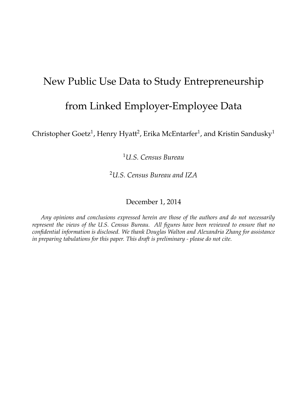## New Public Use Data to Study Entrepreneurship

### from Linked Employer-Employee Data

Christopher Goetz $^1$ , Henry Hyatt $^2$ , Erika McEntarfer $^1$ , and Kristin Sandusky $^1$ 

<sup>1</sup>*U.S. Census Bureau*

<sup>2</sup>*U.S. Census Bureau and IZA*

December 1, 2014

*Any opinions and conclusions expressed herein are those of the authors and do not necessarily represent the views of the U.S. Census Bureau. All figures have been reviewed to ensure that no confidential information is disclosed. We thank Douglas Walton and Alexandria Zhang for assistance in preparing tabulations for this paper. This draft is preliminary - please do not cite.*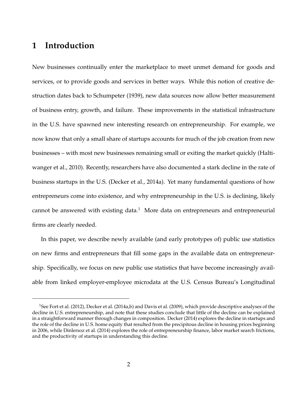### **1 Introduction**

New businesses continually enter the marketplace to meet unmet demand for goods and services, or to provide goods and services in better ways. While this notion of creative destruction dates back to Schumpeter (1939), new data sources now allow better measurement of business entry, growth, and failure. These improvements in the statistical infrastructure in the U.S. have spawned new interesting research on entrepreneurship. For example, we now know that only a small share of startups accounts for much of the job creation from new businesses – with most new businesses remaining small or exiting the market quickly (Haltiwanger et al., 2010). Recently, researchers have also documented a stark decline in the rate of business startups in the U.S. (Decker et al., 2014a). Yet many fundamental questions of how entrepreneurs come into existence, and why entrepreneurship in the U.S. is declining, likely cannot be answered with existing data.<sup>1</sup> More data on entrepreneurs and entrepreneurial firms are clearly needed.

In this paper, we describe newly available (and early prototypes of) public use statistics on new firms and entrepreneurs that fill some gaps in the available data on entrepreneurship. Specifically, we focus on new public use statistics that have become increasingly available from linked employer-employee microdata at the U.S. Census Bureau's Longitudinal

<sup>&</sup>lt;sup>1</sup>See Fort et al. (2012), Decker et al. (2014a,b) and Davis et al. (2009), which provide descriptive analyses of the decline in U.S. entrepreneurship, and note that these studies conclude that little of the decline can be explained in a straightforward manner through changes in composition. Decker (2014) explores the decline in startups and the role of the decline in U.S. home equity that resulted from the precipitous decline in housing prices beginning in 2006, while Dinlersoz et al. (2014) explores the role of entrepreneurship finance, labor market search frictions, and the productivity of startups in understanding this decline.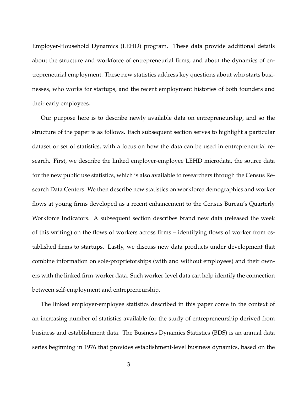Employer-Household Dynamics (LEHD) program. These data provide additional details about the structure and workforce of entrepreneurial firms, and about the dynamics of entrepreneurial employment. These new statistics address key questions about who starts businesses, who works for startups, and the recent employment histories of both founders and their early employees.

Our purpose here is to describe newly available data on entrepreneurship, and so the structure of the paper is as follows. Each subsequent section serves to highlight a particular dataset or set of statistics, with a focus on how the data can be used in entrepreneurial research. First, we describe the linked employer-employee LEHD microdata, the source data for the new public use statistics, which is also available to researchers through the Census Research Data Centers. We then describe new statistics on workforce demographics and worker flows at young firms developed as a recent enhancement to the Census Bureau's Quarterly Workforce Indicators. A subsequent section describes brand new data (released the week of this writing) on the flows of workers across firms – identifying flows of worker from established firms to startups. Lastly, we discuss new data products under development that combine information on sole-proprietorships (with and without employees) and their owners with the linked firm-worker data. Such worker-level data can help identify the connection between self-employment and entrepreneurship.

The linked employer-employee statistics described in this paper come in the context of an increasing number of statistics available for the study of entrepreneurship derived from business and establishment data. The Business Dynamics Statistics (BDS) is an annual data series beginning in 1976 that provides establishment-level business dynamics, based on the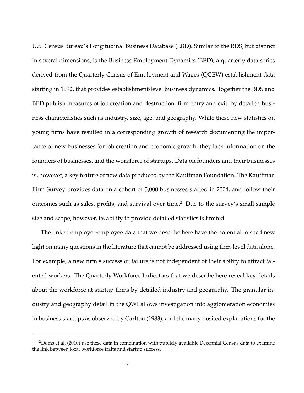U.S. Census Bureau's Longitudinal Business Database (LBD). Similar to the BDS, but distinct in several dimensions, is the Business Employment Dynamics (BED), a quarterly data series derived from the Quarterly Census of Employment and Wages (QCEW) establishment data starting in 1992, that provides establishment-level business dynamics. Together the BDS and BED publish measures of job creation and destruction, firm entry and exit, by detailed business characteristics such as industry, size, age, and geography. While these new statistics on young firms have resulted in a corresponding growth of research documenting the importance of new businesses for job creation and economic growth, they lack information on the founders of businesses, and the workforce of startups. Data on founders and their businesses is, however, a key feature of new data produced by the Kauffman Foundation. The Kauffman Firm Survey provides data on a cohort of 5,000 businesses started in 2004, and follow their outcomes such as sales, profits, and survival over time.<sup>2</sup> Due to the survey's small sample size and scope, however, its ability to provide detailed statistics is limited.

The linked employer-employee data that we describe here have the potential to shed new light on many questions in the literature that cannot be addressed using firm-level data alone. For example, a new firm's success or failure is not independent of their ability to attract talented workers. The Quarterly Workforce Indicators that we describe here reveal key details about the workforce at startup firms by detailed industry and geography. The granular industry and geography detail in the QWI allows investigation into agglomeration economies in business startups as observed by Carlton (1983), and the many posited explanations for the

<sup>&</sup>lt;sup>2</sup>Doms et al. (2010) use these data in combination with publicly available Decennial Census data to examine the link between local workforce traits and startup success.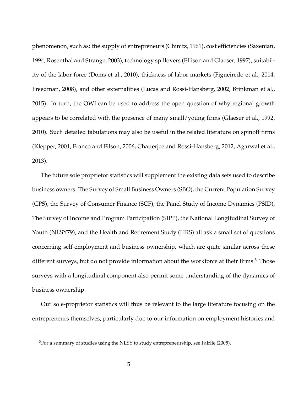phenomenon, such as: the supply of entrepreneurs (Chinitz, 1961), cost efficiencies (Saxenian, 1994, Rosenthal and Strange, 2003), technology spillovers (Ellison and Glaeser, 1997), suitability of the labor force (Doms et al., 2010), thickness of labor markets (Figueiredo et al., 2014, Freedman, 2008), and other externalities (Lucas and Rossi-Hansberg, 2002, Brinkman et al., 2015). In turn, the QWI can be used to address the open question of why regional growth appears to be correlated with the presence of many small/young firms (Glaeser et al., 1992, 2010). Such detailed tabulations may also be useful in the related literature on spinoff firms (Klepper, 2001, Franco and Filson, 2006, Chatterjee and Rossi-Hansberg, 2012, Agarwal et al., 2013).

The future sole proprietor statistics will supplement the existing data sets used to describe business owners. The Survey of Small Business Owners (SBO), the Current Population Survey (CPS), the Survey of Consumer Finance (SCF), the Panel Study of Income Dynamics (PSID), The Survey of Income and Program Participation (SIPP), the National Longitudinal Survey of Youth (NLSY79), and the Health and Retirement Study (HRS) all ask a small set of questions concerning self-employment and business ownership, which are quite similar across these different surveys, but do not provide information about the workforce at their firms.<sup>3</sup> Those surveys with a longitudinal component also permit some understanding of the dynamics of business ownership.

Our sole-proprietor statistics will thus be relevant to the large literature focusing on the entrepreneurs themselves, particularly due to our information on employment histories and

 $3$ For a summary of studies using the NLSY to study entrepreneurship, see Fairlie (2005).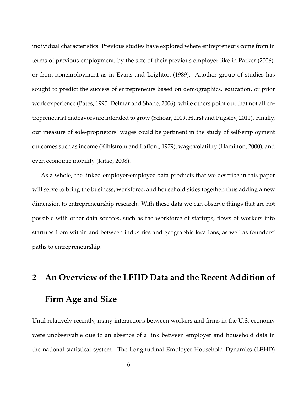individual characteristics. Previous studies have explored where entrepreneurs come from in terms of previous employment, by the size of their previous employer like in Parker (2006), or from nonemployment as in Evans and Leighton (1989). Another group of studies has sought to predict the success of entrepreneurs based on demographics, education, or prior work experience (Bates, 1990, Delmar and Shane, 2006), while others point out that not all entrepreneurial endeavors are intended to grow (Schoar, 2009, Hurst and Pugsley, 2011). Finally, our measure of sole-proprietors' wages could be pertinent in the study of self-employment outcomes such as income (Kihlstrom and Laffont, 1979), wage volatility (Hamilton, 2000), and even economic mobility (Kitao, 2008).

As a whole, the linked employer-employee data products that we describe in this paper will serve to bring the business, workforce, and household sides together, thus adding a new dimension to entrepreneurship research. With these data we can observe things that are not possible with other data sources, such as the workforce of startups, flows of workers into startups from within and between industries and geographic locations, as well as founders' paths to entrepreneurship.

# **2 An Overview of the LEHD Data and the Recent Addition of Firm Age and Size**

Until relatively recently, many interactions between workers and firms in the U.S. economy were unobservable due to an absence of a link between employer and household data in the national statistical system. The Longitudinal Employer-Household Dynamics (LEHD)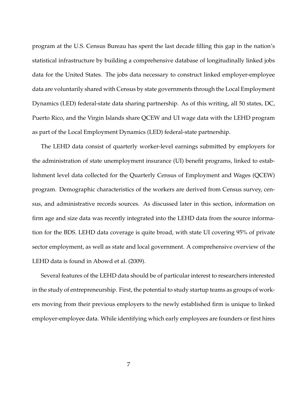program at the U.S. Census Bureau has spent the last decade filling this gap in the nation's statistical infrastructure by building a comprehensive database of longitudinally linked jobs data for the United States. The jobs data necessary to construct linked employer-employee data are voluntarily shared with Census by state governments through the Local Employment Dynamics (LED) federal-state data sharing partnership. As of this writing, all 50 states, DC, Puerto Rico, and the Virgin Islands share QCEW and UI wage data with the LEHD program as part of the Local Employment Dynamics (LED) federal-state partnership.

The LEHD data consist of quarterly worker-level earnings submitted by employers for the administration of state unemployment insurance (UI) benefit programs, linked to establishment level data collected for the Quarterly Census of Employment and Wages (QCEW) program. Demographic characteristics of the workers are derived from Census survey, census, and administrative records sources. As discussed later in this section, information on firm age and size data was recently integrated into the LEHD data from the source information for the BDS. LEHD data coverage is quite broad, with state UI covering 95% of private sector employment, as well as state and local government. A comprehensive overview of the LEHD data is found in Abowd et al. (2009).

Several features of the LEHD data should be of particular interest to researchers interested in the study of entrepreneurship. First, the potential to study startup teams as groups of workers moving from their previous employers to the newly established firm is unique to linked employer-employee data. While identifying which early employees are founders or first hires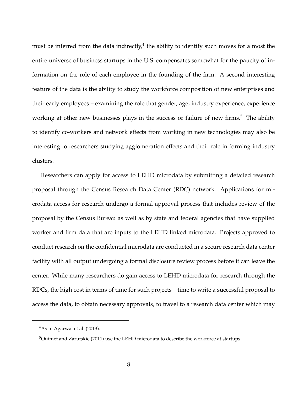must be inferred from the data indirectly, $^4$  the ability to identify such moves for almost the entire universe of business startups in the U.S. compensates somewhat for the paucity of information on the role of each employee in the founding of the firm. A second interesting feature of the data is the ability to study the workforce composition of new enterprises and their early employees – examining the role that gender, age, industry experience, experience working at other new businesses plays in the success or failure of new firms. $5$  The ability to identify co-workers and network effects from working in new technologies may also be interesting to researchers studying agglomeration effects and their role in forming industry clusters.

Researchers can apply for access to LEHD microdata by submitting a detailed research proposal through the Census Research Data Center (RDC) network. Applications for microdata access for research undergo a formal approval process that includes review of the proposal by the Census Bureau as well as by state and federal agencies that have supplied worker and firm data that are inputs to the LEHD linked microdata. Projects approved to conduct research on the confidential microdata are conducted in a secure research data center facility with all output undergoing a formal disclosure review process before it can leave the center. While many researchers do gain access to LEHD microdata for research through the RDCs, the high cost in terms of time for such projects – time to write a successful proposal to access the data, to obtain necessary approvals, to travel to a research data center which may

 $4$ As in Agarwal et al. (2013).

<sup>&</sup>lt;sup>5</sup>Ouimet and Zarutskie (2011) use the LEHD microdata to describe the workforce at startups.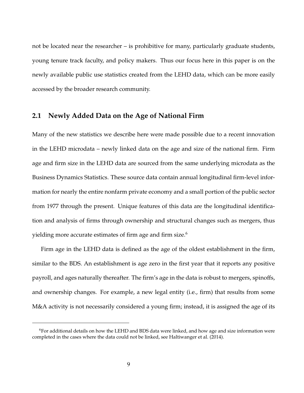not be located near the researcher – is prohibitive for many, particularly graduate students, young tenure track faculty, and policy makers. Thus our focus here in this paper is on the newly available public use statistics created from the LEHD data, which can be more easily accessed by the broader research community.

### **2.1 Newly Added Data on the Age of National Firm**

Many of the new statistics we describe here were made possible due to a recent innovation in the LEHD microdata – newly linked data on the age and size of the national firm. Firm age and firm size in the LEHD data are sourced from the same underlying microdata as the Business Dynamics Statistics. These source data contain annual longitudinal firm-level information for nearly the entire nonfarm private economy and a small portion of the public sector from 1977 through the present. Unique features of this data are the longitudinal identification and analysis of firms through ownership and structural changes such as mergers, thus yielding more accurate estimates of firm age and firm size.<sup>6</sup>

Firm age in the LEHD data is defined as the age of the oldest establishment in the firm, similar to the BDS. An establishment is age zero in the first year that it reports any positive payroll, and ages naturally thereafter. The firm's age in the data is robust to mergers, spinoffs, and ownership changes. For example, a new legal entity (i.e., firm) that results from some M&A activity is not necessarily considered a young firm; instead, it is assigned the age of its

<sup>6</sup>For additional details on how the LEHD and BDS data were linked, and how age and size information were completed in the cases where the data could not be linked, see Haltiwanger et al. (2014).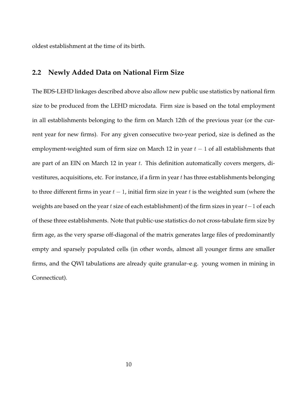oldest establishment at the time of its birth.

### **2.2 Newly Added Data on National Firm Size**

The BDS-LEHD linkages described above also allow new public use statistics by national firm size to be produced from the LEHD microdata. Firm size is based on the total employment in all establishments belonging to the firm on March 12th of the previous year (or the current year for new firms). For any given consecutive two-year period, size is defined as the employment-weighted sum of firm size on March 12 in year  $t - 1$  of all establishments that are part of an EIN on March 12 in year  $t$ . This definition automatically covers mergers, divestitures, acquisitions, etc. For instance, if a firm in year  $t$  has three establishments belonging to three different firms in year  $t - 1$ , initial firm size in year t is the weighted sum (where the weights are based on the year t size of each establishment) of the firm sizes in year  $t-1$  of each of these three establishments. Note that public-use statistics do not cross-tabulate firm size by firm age, as the very sparse off-diagonal of the matrix generates large files of predominantly empty and sparsely populated cells (in other words, almost all younger firms are smaller firms, and the QWI tabulations are already quite granular–e.g. young women in mining in Connecticut).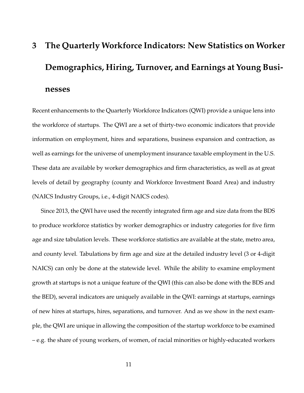# **3 The Quarterly Workforce Indicators: New Statistics on Worker Demographics, Hiring, Turnover, and Earnings at Young Businesses**

Recent enhancements to the Quarterly Workforce Indicators (QWI) provide a unique lens into the workforce of startups. The QWI are a set of thirty-two economic indicators that provide information on employment, hires and separations, business expansion and contraction, as well as earnings for the universe of unemployment insurance taxable employment in the U.S. These data are available by worker demographics and firm characteristics, as well as at great levels of detail by geography (county and Workforce Investment Board Area) and industry (NAICS Industry Groups, i.e., 4-digit NAICS codes).

Since 2013, the QWI have used the recently integrated firm age and size data from the BDS to produce workforce statistics by worker demographics or industry categories for five firm age and size tabulation levels. These workforce statistics are available at the state, metro area, and county level. Tabulations by firm age and size at the detailed industry level (3 or 4-digit NAICS) can only be done at the statewide level. While the ability to examine employment growth at startups is not a unique feature of the QWI (this can also be done with the BDS and the BED), several indicators are uniquely available in the QWI: earnings at startups, earnings of new hires at startups, hires, separations, and turnover. And as we show in the next example, the QWI are unique in allowing the composition of the startup workforce to be examined – e.g. the share of young workers, of women, of racial minorities or highly-educated workers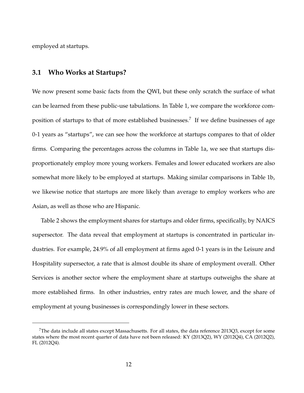employed at startups.

### **3.1 Who Works at Startups?**

We now present some basic facts from the QWI, but these only scratch the surface of what can be learned from these public-use tabulations. In Table 1, we compare the workforce composition of startups to that of more established businesses.<sup>7</sup> If we define businesses of age 0-1 years as "startups", we can see how the workforce at startups compares to that of older firms. Comparing the percentages across the columns in Table 1a, we see that startups disproportionately employ more young workers. Females and lower educated workers are also somewhat more likely to be employed at startups. Making similar comparisons in Table 1b, we likewise notice that startups are more likely than average to employ workers who are Asian, as well as those who are Hispanic.

Table 2 shows the employment shares for startups and older firms, specifically, by NAICS supersector. The data reveal that employment at startups is concentrated in particular industries. For example, 24.9% of all employment at firms aged 0-1 years is in the Leisure and Hospitality supersector, a rate that is almost double its share of employment overall. Other Services is another sector where the employment share at startups outweighs the share at more established firms. In other industries, entry rates are much lower, and the share of employment at young businesses is correspondingly lower in these sectors.

<sup>&</sup>lt;sup>7</sup>The data include all states except Massachusetts. For all states, the data reference 2013Q3, except for some states where the most recent quarter of data have not been released: KY (2013Q2), WY (2012Q4), CA (2012Q2), FL (2012Q4).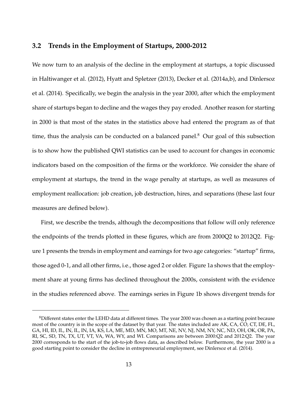#### **3.2 Trends in the Employment of Startups, 2000-2012**

We now turn to an analysis of the decline in the employment at startups, a topic discussed in Haltiwanger et al. (2012), Hyatt and Spletzer (2013), Decker et al. (2014a,b), and Dinlersoz et al. (2014). Specifically, we begin the analysis in the year 2000, after which the employment share of startups began to decline and the wages they pay eroded. Another reason for starting in 2000 is that most of the states in the statistics above had entered the program as of that time, thus the analysis can be conducted on a balanced panel.<sup>8</sup> Our goal of this subsection is to show how the published QWI statistics can be used to account for changes in economic indicators based on the composition of the firms or the workforce. We consider the share of employment at startups, the trend in the wage penalty at startups, as well as measures of employment reallocation: job creation, job destruction, hires, and separations (these last four measures are defined below).

First, we describe the trends, although the decompositions that follow will only reference the endpoints of the trends plotted in these figures, which are from 2000Q2 to 2012Q2. Figure 1 presents the trends in employment and earnings for two age categories: "startup" firms, those aged 0-1, and all other firms, i.e., those aged 2 or older. Figure 1a shows that the employment share at young firms has declined throughout the 2000s, consistent with the evidence in the studies referenced above. The earnings series in Figure 1b shows divergent trends for

<sup>&</sup>lt;sup>8</sup>Different states enter the LEHD data at different times. The year 2000 was chosen as a starting point because most of the country is in the scope of the dataset by that year. The states included are AK, CA, CO, CT, DE, FL, GA, HI, ID, IL, IN, IL, IN, IA, KS, LA, ME, MD, MN, MO, MT, NE, NV, NJ, NM, NY, NC, ND, OH, OK, OR, PA, RI, SC, SD, TN, TX, UT, VT, VA, WA, WY, and WI. Comparisons are between 2000:Q2 and 2012:Q2. The year 2000 corresponds to the start of the job-to-job flows data, as described below. Furthermore, the year 2000 is a good starting point to consider the decline in entrepreneurial employment, see Dinlersoz et al. (2014).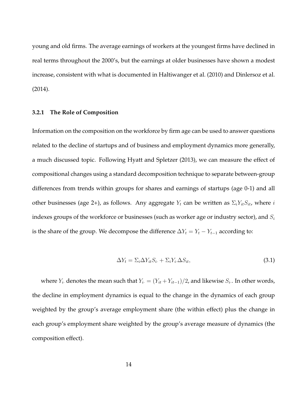young and old firms. The average earnings of workers at the youngest firms have declined in real terms throughout the 2000's, but the earnings at older businesses have shown a modest increase, consistent with what is documented in Haltiwanger et al. (2010) and Dinlersoz et al. (2014).

#### **3.2.1 The Role of Composition**

Information on the composition on the workforce by firm age can be used to answer questions related to the decline of startups and of business and employment dynamics more generally, a much discussed topic. Following Hyatt and Spletzer (2013), we can measure the effect of compositional changes using a standard decomposition technique to separate between-group differences from trends within groups for shares and earnings of startups (age 0-1) and all other businesses (age 2+), as follows. Any aggregate  $Y_t$  can be written as  $\Sigma_i Y_{it} S_{it}$ , where i indexes groups of the workforce or businesses (such as worker age or industry sector), and  $S_i$ is the share of the group. We decompose the difference  $\Delta Y_t = Y_t - Y_{t-1}$  according to:

$$
\Delta Y_t = \Sigma_i \Delta Y_{it} S_i + \Sigma_i Y_i \Delta S_{it},\tag{3.1}
$$

where  $Y_i$  denotes the mean such that  $Y_i = (Y_{it} + Y_{it-1})/2$ , and likewise  $S_i$ . In other words, the decline in employment dynamics is equal to the change in the dynamics of each group weighted by the group's average employment share (the within effect) plus the change in each group's employment share weighted by the group's average measure of dynamics (the composition effect).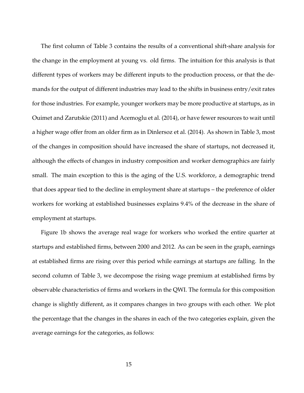The first column of Table 3 contains the results of a conventional shift-share analysis for the change in the employment at young vs. old firms. The intuition for this analysis is that different types of workers may be different inputs to the production process, or that the demands for the output of different industries may lead to the shifts in business entry/exit rates for those industries. For example, younger workers may be more productive at startups, as in Ouimet and Zarutskie (2011) and Acemoglu et al. (2014), or have fewer resources to wait until a higher wage offer from an older firm as in Dinlersoz et al. (2014). As shown in Table 3, most of the changes in composition should have increased the share of startups, not decreased it, although the effects of changes in industry composition and worker demographics are fairly small. The main exception to this is the aging of the U.S. workforce, a demographic trend that does appear tied to the decline in employment share at startups – the preference of older workers for working at established businesses explains 9.4% of the decrease in the share of employment at startups.

Figure 1b shows the average real wage for workers who worked the entire quarter at startups and established firms, between 2000 and 2012. As can be seen in the graph, earnings at established firms are rising over this period while earnings at startups are falling. In the second column of Table 3, we decompose the rising wage premium at established firms by observable characteristics of firms and workers in the QWI. The formula for this composition change is slightly different, as it compares changes in two groups with each other. We plot the percentage that the changes in the shares in each of the two categories explain, given the average earnings for the categories, as follows: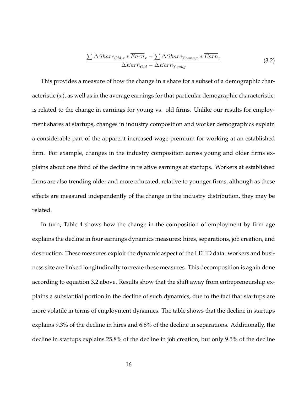$$
\frac{\sum \Delta Shar_{Old,x} * \overline{Earn}_x - \sum \Delta Shar_{Young,x} * \overline{Earn}_x}{\Delta Earn_{Old} - \Delta \overline{Earn}_{Young}}
$$
(3.2)

This provides a measure of how the change in a share for a subset of a demographic characteristic  $(x)$ , as well as in the average earnings for that particular demographic characteristic, is related to the change in earnings for young vs. old firms. Unlike our results for employment shares at startups, changes in industry composition and worker demographics explain a considerable part of the apparent increased wage premium for working at an established firm. For example, changes in the industry composition across young and older firms explains about one third of the decline in relative earnings at startups. Workers at established firms are also trending older and more educated, relative to younger firms, although as these effects are measured independently of the change in the industry distribution, they may be related.

In turn, Table 4 shows how the change in the composition of employment by firm age explains the decline in four earnings dynamics measures: hires, separations, job creation, and destruction. These measures exploit the dynamic aspect of the LEHD data: workers and business size are linked longitudinally to create these measures. This decomposition is again done according to equation 3.2 above. Results show that the shift away from entrepreneurship explains a substantial portion in the decline of such dynamics, due to the fact that startups are more volatile in terms of employment dynamics. The table shows that the decline in startups explains 9.3% of the decline in hires and 6.8% of the decline in separations. Additionally, the decline in startups explains 25.8% of the decline in job creation, but only 9.5% of the decline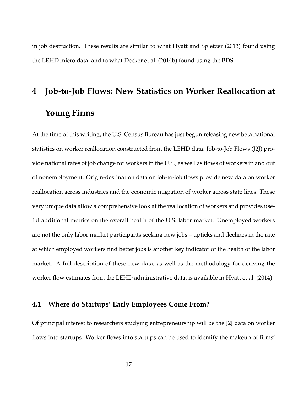in job destruction. These results are similar to what Hyatt and Spletzer (2013) found using the LEHD micro data, and to what Decker et al. (2014b) found using the BDS.

# **4 Job-to-Job Flows: New Statistics on Worker Reallocation at Young Firms**

At the time of this writing, the U.S. Census Bureau has just begun releasing new beta national statistics on worker reallocation constructed from the LEHD data. Job-to-Job Flows (J2J) provide national rates of job change for workers in the U.S., as well as flows of workers in and out of nonemployment. Origin-destination data on job-to-job flows provide new data on worker reallocation across industries and the economic migration of worker across state lines. These very unique data allow a comprehensive look at the reallocation of workers and provides useful additional metrics on the overall health of the U.S. labor market. Unemployed workers are not the only labor market participants seeking new jobs – upticks and declines in the rate at which employed workers find better jobs is another key indicator of the health of the labor market. A full description of these new data, as well as the methodology for deriving the worker flow estimates from the LEHD administrative data, is available in Hyatt et al. (2014).

#### **4.1 Where do Startups' Early Employees Come From?**

Of principal interest to researchers studying entrepreneurship will be the J2J data on worker flows into startups. Worker flows into startups can be used to identify the makeup of firms'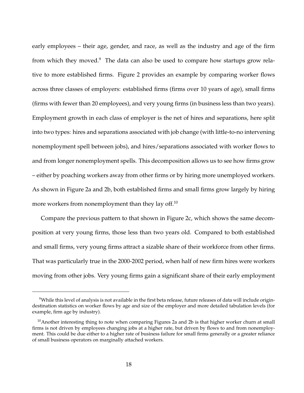early employees – their age, gender, and race, as well as the industry and age of the firm from which they moved.<sup>9</sup> The data can also be used to compare how startups grow relative to more established firms. Figure 2 provides an example by comparing worker flows across three classes of employers: established firms (firms over 10 years of age), small firms (firms with fewer than 20 employees), and very young firms (in business less than two years). Employment growth in each class of employer is the net of hires and separations, here split into two types: hires and separations associated with job change (with little-to-no intervening nonemployment spell between jobs), and hires/separations associated with worker flows to and from longer nonemployment spells. This decomposition allows us to see how firms grow – either by poaching workers away from other firms or by hiring more unemployed workers. As shown in Figure 2a and 2b, both established firms and small firms grow largely by hiring more workers from nonemployment than they lay off.<sup>10</sup>

Compare the previous pattern to that shown in Figure 2c, which shows the same decomposition at very young firms, those less than two years old. Compared to both established and small firms, very young firms attract a sizable share of their workforce from other firms. That was particularly true in the 2000-2002 period, when half of new firm hires were workers moving from other jobs. Very young firms gain a significant share of their early employment

<sup>&</sup>lt;sup>9</sup>While this level of analysis is not available in the first beta release, future releases of data will include origindestination statistics on worker flows by age and size of the employer and more detailed tabulation levels (for example, firm age by industry).

 $10$ Another interesting thing to note when comparing Figures 2a and 2b is that higher worker churn at small firms is not driven by employees changing jobs at a higher rate, but driven by flows to and from nonemployment. This could be due either to a higher rate of business failure for small firms generally or a greater reliance of small business operators on marginally attached workers.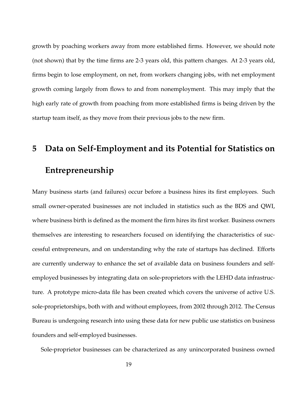growth by poaching workers away from more established firms. However, we should note (not shown) that by the time firms are 2-3 years old, this pattern changes. At 2-3 years old, firms begin to lose employment, on net, from workers changing jobs, with net employment growth coming largely from flows to and from nonemployment. This may imply that the high early rate of growth from poaching from more established firms is being driven by the startup team itself, as they move from their previous jobs to the new firm.

## **5 Data on Self-Employment and its Potential for Statistics on Entrepreneurship**

Many business starts (and failures) occur before a business hires its first employees. Such small owner-operated businesses are not included in statistics such as the BDS and QWI, where business birth is defined as the moment the firm hires its first worker. Business owners themselves are interesting to researchers focused on identifying the characteristics of successful entrepreneurs, and on understanding why the rate of startups has declined. Efforts are currently underway to enhance the set of available data on business founders and selfemployed businesses by integrating data on sole-proprietors with the LEHD data infrastructure. A prototype micro-data file has been created which covers the universe of active U.S. sole-proprietorships, both with and without employees, from 2002 through 2012. The Census Bureau is undergoing research into using these data for new public use statistics on business founders and self-employed businesses.

Sole-proprietor businesses can be characterized as any unincorporated business owned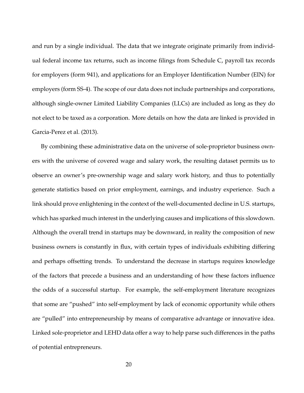and run by a single individual. The data that we integrate originate primarily from individual federal income tax returns, such as income filings from Schedule C, payroll tax records for employers (form 941), and applications for an Employer Identification Number (EIN) for employers (form SS-4). The scope of our data does not include partnerships and corporations, although single-owner Limited Liability Companies (LLCs) are included as long as they do not elect to be taxed as a corporation. More details on how the data are linked is provided in Garcia-Perez et al. (2013).

By combining these administrative data on the universe of sole-proprietor business owners with the universe of covered wage and salary work, the resulting dataset permits us to observe an owner's pre-ownership wage and salary work history, and thus to potentially generate statistics based on prior employment, earnings, and industry experience. Such a link should prove enlightening in the context of the well-documented decline in U.S. startups, which has sparked much interest in the underlying causes and implications of this slowdown. Although the overall trend in startups may be downward, in reality the composition of new business owners is constantly in flux, with certain types of individuals exhibiting differing and perhaps offsetting trends. To understand the decrease in startups requires knowledge of the factors that precede a business and an understanding of how these factors influence the odds of a successful startup. For example, the self-employment literature recognizes that some are "pushed" into self-employment by lack of economic opportunity while others are "pulled" into entrepreneurship by means of comparative advantage or innovative idea. Linked sole-proprietor and LEHD data offer a way to help parse such differences in the paths of potential entrepreneurs.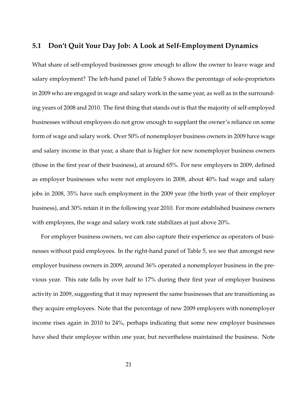### **5.1 Don't Quit Your Day Job: A Look at Self-Employment Dynamics**

What share of self-employed businesses grow enough to allow the owner to leave wage and salary employment? The left-hand panel of Table 5 shows the percentage of sole-proprietors in 2009 who are engaged in wage and salary work in the same year, as well as in the surrounding years of 2008 and 2010. The first thing that stands out is that the majority of self-employed businesses without employees do not grow enough to supplant the owner's reliance on some form of wage and salary work. Over 50% of nonemployer business owners in 2009 have wage and salary income in that year, a share that is higher for new nonemployer business owners (those in the first year of their business), at around 65%. For new employers in 2009, defined as employer businesses who were not employers in 2008, about 40% had wage and salary jobs in 2008, 35% have such employment in the 2009 year (the birth year of their employer business), and 30% retain it in the following year 2010. For more established business owners with employees, the wage and salary work rate stabilizes at just above 20%.

For employer business owners, we can also capture their experience as operators of businesses without paid employees. In the right-hand panel of Table 5, we see that amongst new employer business owners in 2009, around 36% operated a nonemployer business in the previous year. This rate falls by over half to 17% during their first year of employer business activity in 2009, suggesting that it may represent the same businesses that are transitioning as they acquire employees. Note that the percentage of new 2009 employers with nonemployer income rises again in 2010 to 24%, perhaps indicating that some new employer businesses have shed their employee within one year, but nevertheless maintained the business. Note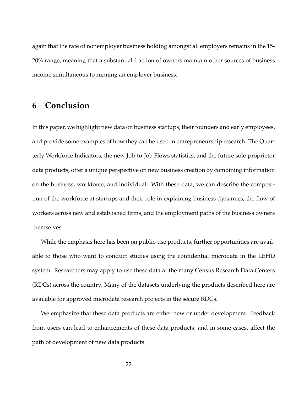again that the rate of nonemployer business holding amongst all employers remains in the 15- 20% range, meaning that a substantial fraction of owners maintain other sources of business income simultaneous to running an employer business.

### **6 Conclusion**

In this paper, we highlight new data on business startups, their founders and early employees, and provide some examples of how they can be used in entrepreneurship research. The Quarterly Workforce Indicators, the new Job-to-Job Flows statistics, and the future sole-proprietor data products, offer a unique perspective on new business creation by combining information on the business, workforce, and individual. With these data, we can describe the composition of the workforce at startups and their role in explaining business dynamics, the flow of workers across new and established firms, and the employment paths of the business owners themselves.

While the emphasis here has been on public-use products, further opportunities are available to those who want to conduct studies using the confidential microdata in the LEHD system. Researchers may apply to use these data at the many Census Research Data Centers (RDCs) across the country. Many of the datasets underlying the products described here are available for approved microdata research projects in the secure RDCs.

We emphasize that these data products are either new or under development. Feedback from users can lead to enhancements of these data products, and in some cases, affect the path of development of new data products.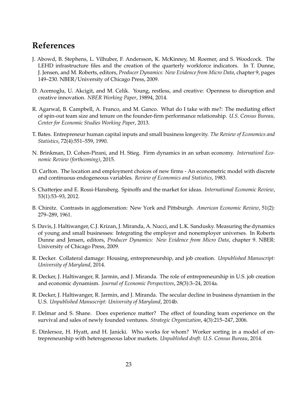### **References**

- J. Abowd, B. Stephens, L. Vilhuber, F. Andersson, K. McKinney, M. Roemer, and S. Woodcock. The LEHD infrastructure files and the creation of the quarterly workforce indicators. In T. Dunne, J. Jensen, and M. Roberts, editors, *Producer Dynamics: New Evidence from Micro Data*, chapter 9, pages 149–230. NBER/University of Chicago Press, 2009.
- D. Acemoglu, U. Akcigit, and M. Celik. Young, restless, and creative: Openness to disruption and creative innovation. *NBER Working Paper*, 19894, 2014.
- R. Agarwal, B. Campbell, A. Franco, and M. Ganco. What do I take with me?: The mediating effect of spin-out team size and tenure on the founder-firm performance relationship. *U.S. Census Bureau, Center for Economic Studies Working Paper*, 2013.
- T. Bates. Entrepreneur human capital inputs and small business longevity. *The Review of Economics and Statistics*, 72(4):551–559, 1990.
- N. Brinkman, D. Cohen-Pirani, and H. Stieg. Firm dynamics in an urban economy. *Internationl Economic Review (forthcoming)*, 2015.
- D. Carlton. The location and employment choices of new firms An econometric model with discrete and continuous endogeneous variables. *Review of Economics and Statistics*, 1983.
- S. Chatterjee and E. Rossi-Hansberg. Spinoffs and the market for ideas. *International Economic Review*, 53(1):53–93, 2012.
- B. Chinitz. Contrasts in agglomeration: New York and Pittsburgh. *American Economic Review*, 51(2): 279–289, 1961.
- S. Davis, J. Haltiwanger, C.J. Krizan, J. Miranda, A. Nucci, and L.K. Sandusky. Measuring the dynamics of young and small businesses: Integrating the employer and nonemployer universes. In Roberts Dunne and Jensen, editors, *Producer Dynamics: New Evidence from Micro Data*, chapter 9. NBER: University of Chicago Press, 2009.
- R. Decker. Collateral damage: Housing, entrepreneurship, and job creation. *Unpublished Manuscript: University of Maryland*, 2014.
- R. Decker, J. Haltiwanger, R. Jarmin, and J. Miranda. The role of entrepreneurship in U.S. job creation and economic dynamism. *Journal of Economic Perspectives*, 28(3):3–24, 2014a.
- R. Decker, J. Haltiwanger, R. Jarmin, and J. Miranda. The secular decline in business dynamism in the U.S. *Unpublished Manuscript: University of Maryland*, 2014b.
- F. Delmar and S. Shane. Does experience matter? The effect of founding team experience on the survival and sales of newly founded ventures. *Strategic Organization*, 4(3):215–247, 2006.
- E. Dinlersoz, H. Hyatt, and H. Janicki. Who works for whom? Worker sorting in a model of entrepreneurship with heterogeneous labor markets. *Unpublished draft: U.S. Census Bureau*, 2014.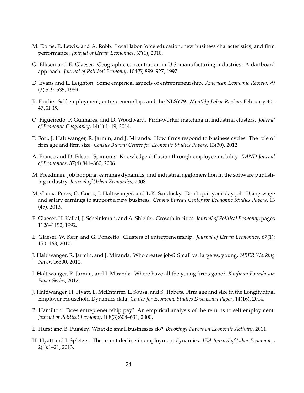- M. Doms, E. Lewis, and A. Robb. Local labor force education, new business characteristics, and firm performance. *Journal of Urban Economics*, 67(1), 2010.
- G. Ellison and E. Glaeser. Geographic concentration in U.S. manufacturing industries: A dartboard approach. *Journal of Political Economy*, 104(5):899–927, 1997.
- D. Evans and L. Leighton. Some empirical aspects of entrepreneurship. *American Economic Review*, 79 (3):519–535, 1989.
- R. Fairlie. Self-employment, entrepreneurship, and the NLSY79. *Monthly Labor Review*, February:40– 47, 2005.
- O. Figueiredo, P. Guimares, and D. Woodward. Firm-worker matching in industrial clusters. *Journal of Economic Geography*, 14(1):1–19, 2014.
- T. Fort, J. Haltiwanger, R. Jarmin, and J. Miranda. How firms respond to business cycles: The role of firm age and firm size. *Census Bureau Center for Economic Studies Papers*, 13(30), 2012.
- A. Franco and D. Filson. Spin-outs: Knowledge diffusion through employee mobility. *RAND Journal of Economics*, 37(4):841–860, 2006.
- M. Freedman. Job hopping, earnings dynamics, and industrial agglomeration in the software publishing industry. *Journal of Urban Economics*, 2008.
- M. Garcia-Perez, C. Goetz, J. Haltiwanger, and L.K. Sandusky. Don't quit your day job: Using wage and salary earnings to support a new business. *Census Bureau Center for Economic Studies Papers*, 13 (45), 2013.
- E. Glaeser, H. Kallal, J. Scheinkman, and A. Shleifer. Growth in cities. *Journal of Political Economy*, pages 1126–1152, 1992.
- E. Glaeser, W. Kerr, and G. Ponzetto. Clusters of entrepreneurship. *Journal of Urban Economics*, 67(1): 150–168, 2010.
- J. Haltiwanger, R. Jarmin, and J. Miranda. Who creates jobs? Small vs. large vs. young. *NBER Working Paper*, 16300, 2010.
- J. Haltiwanger, R. Jarmin, and J. Miranda. Where have all the young firms gone? *Kaufman Foundation Paper Series*, 2012.
- J. Haltiwanger, H. Hyatt, E. McEntarfer, L. Sousa, and S. Tibbets. Firm age and size in the Longitudinal Employer-Household Dynamics data. *Center for Economic Studies Discussion Paper*, 14(16), 2014.
- B. Hamilton. Does entrepreneurship pay? An empirical analysis of the returns to self employment. *Journal of Political Economy*, 108(3):604–631, 2000.
- E. Hurst and B. Pugsley. What do small businesses do? *Brookings Papers on Economic Activity*, 2011.
- H. Hyatt and J. Spletzer. The recent decline in employment dynamics. *IZA Journal of Labor Economics*, 2(1):1–21, 2013.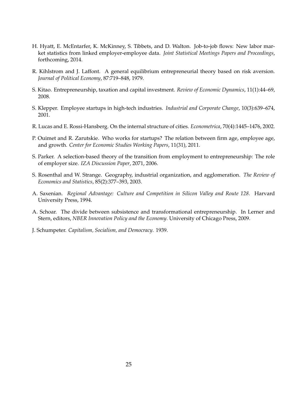- H. Hyatt, E. McEntarfer, K. McKinney, S. Tibbets, and D. Walton. Job-to-job flows: New labor market statistics from linked employer-employee data. *Joint Statistical Meetings Papers and Proceedings*, forthcoming, 2014.
- R. Kihlstrom and J. Laffont. A general equilibrium entrepreneurial theory based on risk aversion. *Journal of Political Economy*, 87:719–848, 1979.
- S. Kitao. Entrepreneurship, taxation and capital investment. *Review of Economic Dynamics*, 11(1):44–69, 2008.
- S. Klepper. Employee startups in high-tech industries. *Industrial and Corporate Change*, 10(3):639–674, 2001.
- R. Lucas and E. Rossi-Hansberg. On the internal structure of cities. *Econometrica*, 70(4):1445–1476, 2002.
- P. Ouimet and R. Zarutskie. Who works for startups? The relation between firm age, employee age, and growth. *Center for Economic Studies Working Papers*, 11(31), 2011.
- S. Parker. A selection-based theory of the transition from employment to entrepreneurship: The role of employer size. *IZA Discussion Paper*, 2071, 2006.
- S. Rosenthal and W. Strange. Geography, industrial organization, and agglomeration. *The Review of Economics and Statistics*, 85(2):377–393, 2003.
- A. Saxenian. *Regional Advantage: Culture and Competition in Silicon Valley and Route 128*. Harvard University Press, 1994.
- A. Schoar. The divide between subsistence and transformational entrepreneurship. In Lerner and Stern, editors, *NBER Innovation Policy and the Economy*. University of Chicago Press, 2009.
- J. Schumpeter. *Capitalism, Socialism, and Democracy*. 1939.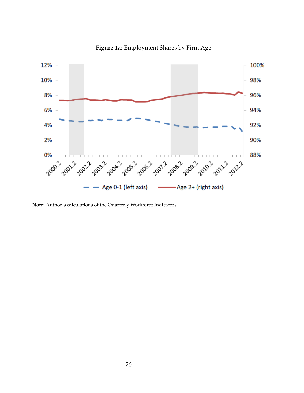

**Figure 1a**: Employment Shares by Firm Age

**Note:** Author's calculations of the Quarterly Workforce Indicators.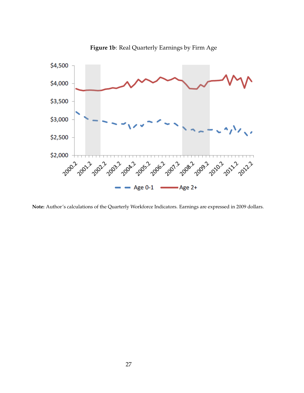

**Figure 1b**: Real Quarterly Earnings by Firm Age

**Note:** Author's calculations of the Quarterly Workforce Indicators. Earnings are expressed in 2009 dollars.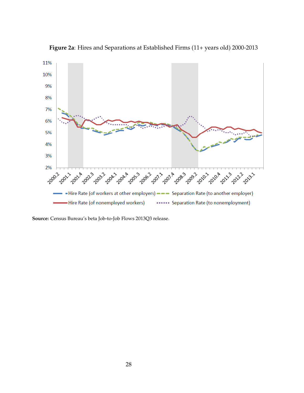

**Figure 2a**: Hires and Separations at Established Firms (11+ years old) 2000-2013

**Source:** Census Bureau's beta Job-to-Job Flows 2013Q3 release.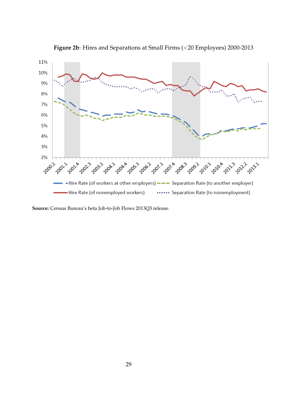

**Figure 2b**: Hires and Separations at Small Firms (<20 Employees) 2000-2013

**Source:** Census Bureau's beta Job-to-Job Flows 2013Q3 release.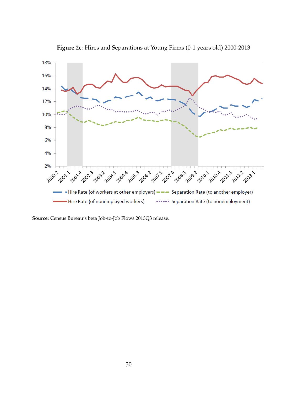

**Figure 2c**: Hires and Separations at Young Firms (0-1 years old) 2000-2013

**Source:** Census Bureau's beta Job-to-Job Flows 2013Q3 release.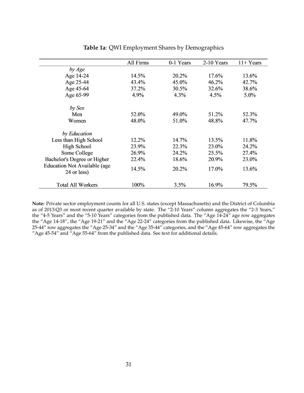|                                                    | All Firms | 0-1 Years | 2-10 Years | $11 + Years$ |
|----------------------------------------------------|-----------|-----------|------------|--------------|
| by Age                                             |           |           |            |              |
| Age 14-24                                          | 14.5%     | 20.2%     | 17.6%      | 13.6%        |
| Age 25-44                                          | 43.4%     | 45.0%     | 46.2%      | 42.7%        |
| Age 45-64                                          | 37.2%     | 30.5%     | 32.6%      | 38.6%        |
| Age 65-99                                          | 4.9%      | 4.3%      | 4.5%       | 5.0%         |
| by Sex                                             |           |           |            |              |
| Men                                                | 52.0%     | 49.0%     | 51.2%      | 52.3%        |
| Women                                              | 48.0%     | 51.0%     | 48.8%      | 47.7%        |
| by Education                                       |           |           |            |              |
| Less than High School                              | 12.2%     | 14.7%     | 13.5%      | 11.8%        |
| <b>High School</b>                                 | 23.9%     | 22.3%     | 23.0%      | 24.2%        |
| Some College                                       | 26.9%     | 24.2%     | 25.5%      | 27.4%        |
| Bachelor's Degree or Higher                        | 22.4%     | 18.6%     | 20.9%      | 23.0%        |
| <b>Education Not Available (age</b><br>24 or less) | 14.5%     | 20.2%     | 17.0%      | 13.6%        |
| <b>Total All Workers</b>                           | 100%      | 3.5%      | 16.9%      | 79.5%        |

#### **Table 1a**: QWI Employment Shares by Demographics

**Note:** Private sector employment counts for all U.S. states (except Massachusetts) and the District of Columbia as of 2013:Q3 or most recent quarter available by state. The "2-10 Years" column aggregates the "2-3 Years," the "4-5 Years" and the "5-10 Years" categories from the published data. The "Age 14-24" age row aggregates the "Age 14-18", the "Age 19-21" and the "Age 22-24" categories from the published data. Likewise, the "Age 25-44" row aggregates the "Age 25-34" and the "Age 35-44" categories, and the "Age 45-64" row aggregates the "Age 45-54" and "Age 55-64" from the published data. See text for additional details.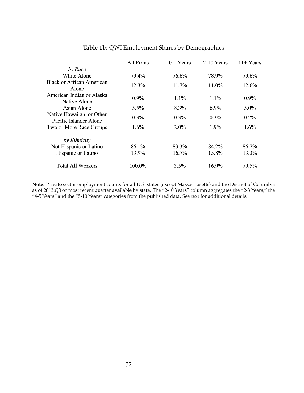|                                                    | All Firms | 0-1 Years | 2-10 Years | $11 + Years$ |
|----------------------------------------------------|-----------|-----------|------------|--------------|
| by Race                                            |           |           |            |              |
| White Alone                                        | 79.4%     | 76.6%     | 78.9%      | 79.6%        |
| <b>Black or African American</b><br>Alone          | 12.3%     | 11.7%     | 11.0%      | $12.6\%$     |
| American Indian or Alaska<br>Native Alone          | $0.9\%$   | $1.1\%$   | $1.1\%$    | $0.9\%$      |
| Asian Alone                                        | $5.5\%$   | 8.3%      | $6.9\%$    | $5.0\%$      |
| Native Hawaiian or Other<br>Pacific Islander Alone | $0.3\%$   | $0.3\%$   | $0.3\%$    | $0.2\%$      |
| Two or More Race Groups                            | $1.6\%$   | $2.0\%$   | 1.9%       | $1.6\%$      |
| by Ethnicity                                       |           |           |            |              |
| Not Hispanic or Latino                             | 86.1%     | 83.3%     | 84.2%      | 86.7%        |
| Hispanic or Latino                                 | 13.9%     |           | 15.8%      | 13.3%        |
| <b>Total All Workers</b>                           | 100.0%    | $3.5\%$   | 16.9%      | 79.5%        |

### **Table 1b**: QWI Employment Shares by Demographics

**Note:** Private sector employment counts for all U.S. states (except Massachusetts) and the District of Columbia as of 2013:Q3 or most recent quarter available by state. The "2-10 Years" column aggregates the "2-3 Years," the "4-5 Years" and the "5-10 Years" categories from the published data. See text for additional details.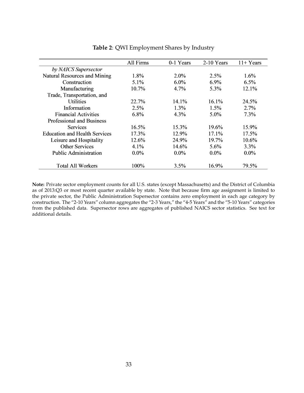|                                      | All Firms | 0-1 Years | 2-10 Years | $11 + Years$ |
|--------------------------------------|-----------|-----------|------------|--------------|
| by NAICS Supersector                 |           |           |            |              |
| <b>Natural Resources and Mining</b>  | 1.8%      | $2.0\%$   | 2.5%       | 1.6%         |
| Construction                         | 5.1%      | $6.0\%$   | 6.9%       | 6.5%         |
| Manufacturing                        | 10.7%     | 4.7%      | 5.3%       | 12.1%        |
| Trade, Transportation, and           |           |           |            |              |
| <b>Utilities</b>                     | 22.7%     | 14.1%     | $16.1\%$   | 24.5%        |
| Information                          | 2.5%      | 1.3%      | 1.5%       | 2.7%         |
| <b>Financial Activities</b>          | 6.8%      | 4.3%      | 5.0%       | 7.3%         |
| <b>Professional and Business</b>     |           |           |            |              |
| <b>Services</b>                      | 16.5%     | 15.3%     | 19.6%      | 15.9%        |
| <b>Education and Health Services</b> | 17.3%     | 12.9%     | 17.1%      | 17.5%        |
| Leisure and Hospitality              | 12.6%     | 24.9%     | 19.7%      | 10.6%        |
| <b>Other Services</b>                | 4.1%      | 14.6%     | 5.6%       | 3.3%         |
| <b>Public Administration</b>         | $0.0\%$   | $0.0\%$   | $0.0\%$    | $0.0\%$      |
| <b>Total All Workers</b>             | 100%      | 3.5%      | 16.9%      | 79.5%        |

**Table 2**: QWI Employment Shares by Industry

**Note:** Private sector employment counts for all U.S. states (except Massachusetts) and the District of Columbia as of 2013:Q3 or most recent quarter available by state. Note that because firm age assignment is limited to the private sector, the Public Administration Supersector contains zero employment in each age category by construction. The "2-10 Years" column aggregates the "2-3 Years," the "4-5 Years" and the "5-10 Years" categories from the published data. Supersector rows are aggregates of published NAICS sector statistics. See text for additional details.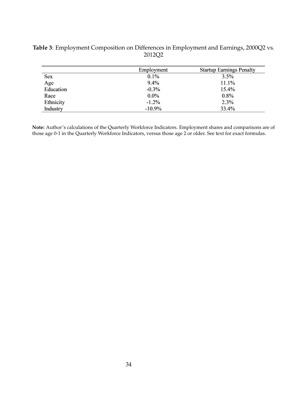|            | Employment | <b>Startup Earnings Penalty</b> |  |  |
|------------|------------|---------------------------------|--|--|
| <b>Sex</b> | $0.1\%$    | 3.5%                            |  |  |
| Age        | 9.4%       | 11.1%                           |  |  |
| Education  | $-0.3\%$   | 15.4%                           |  |  |
| Race       | $0.0\%$    | 0.8%                            |  |  |
| Ethnicity  | $-1.2%$    | 2.3%                            |  |  |
| Industry   | $-10.9%$   | 33.4%                           |  |  |

### **Table 3**: Employment Composition on Differences in Employment and Earnings, 2000Q2 vs. 2012Q2

**Note:** Author's calculations of the Quarterly Workforce Indicators. Employment shares and comparisons are of those age 0-1 in the Quarterly Workforce Indicators, versus those age 2 or older. See text for exact formulas.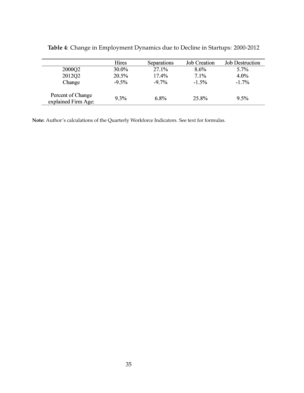|                                          | Hires   | Separations | <b>Job Creation</b> | <b>Job Destruction</b> |
|------------------------------------------|---------|-------------|---------------------|------------------------|
| 2000Q2                                   | 30.0%   | 27.1%       | $8.6\%$             | 5.7%                   |
| 2012Q2                                   | 20.5%   | 17.4%       | 7.1%                | $4.0\%$                |
| Change                                   | $-9.5%$ | $-9.7\%$    | $-1.5\%$            | $-1.7\%$               |
| Percent of Change<br>explained Firm Age: | $9.3\%$ | $6.8\%$     | 25.8%               | $9.5\%$                |

**Table 4**: Change in Employment Dynamics due to Decline in Startups: 2000-2012

**Note:** Author's calculations of the Quarterly Workforce Indicators. See text for formulas.